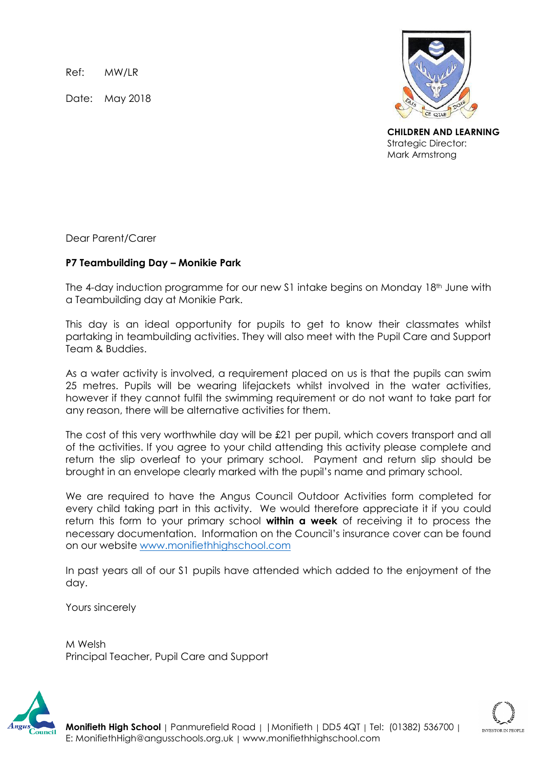Ref: MW/LR

Date: May 2018



**CHILDREN AND LEARNING** Strategic Director: Mark Armstrong

Dear Parent/Carer

## **P7 Teambuilding Day – Monikie Park**

The 4-day induction programme for our new S1 intake begins on Monday 18<sup>th</sup> June with a Teambuilding day at Monikie Park.

This day is an ideal opportunity for pupils to get to know their classmates whilst partaking in teambuilding activities. They will also meet with the Pupil Care and Support Team & Buddies.

As a water activity is involved, a requirement placed on us is that the pupils can swim 25 metres. Pupils will be wearing lifejackets whilst involved in the water activities, however if they cannot fulfil the swimming requirement or do not want to take part for any reason, there will be alternative activities for them.

The cost of this very worthwhile day will be £21 per pupil, which covers transport and all of the activities. If you agree to your child attending this activity please complete and return the slip overleaf to your primary school. Payment and return slip should be brought in an envelope clearly marked with the pupil's name and primary school.

We are required to have the Angus Council Outdoor Activities form completed for every child taking part in this activity. We would therefore appreciate it if you could return this form to your primary school **within a week** of receiving it to process the necessary documentation. Information on the Council's insurance cover can be found on our website [www.monifiethhighschool.com](http://www.monifiethhighschool.com/)

In past years all of our S1 pupils have attended which added to the enjoyment of the day.

Yours sincerely

M Welsh Principal Teacher, Pupil Care and Support